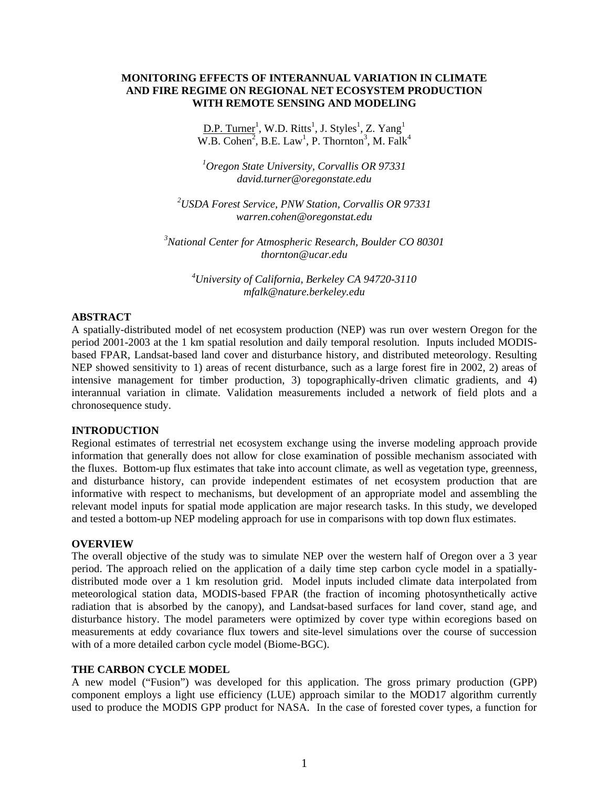### **MONITORING EFFECTS OF INTERANNUAL VARIATION IN CLIMATE AND FIRE REGIME ON REGIONAL NET ECOSYSTEM PRODUCTION WITH REMOTE SENSING AND MODELING**

 $D.P.$  Turner<sup>1</sup>, W.D. Ritts<sup>1</sup>, J. Styles<sup>1</sup>, Z. Yang<sup>1</sup> W.B. Cohen<sup>2</sup>, B.E. Law<sup>1</sup>, P. Thornton<sup>3</sup>, M. Falk<sup>4</sup>

*1 Oregon State University, Corvallis OR 97331 david.turner@oregonstate.edu* 

*2 USDA Forest Service, PNW Station, Corvallis OR 97331 warren.cohen@oregonstat.edu* 

*3 National Center for Atmospheric Research, Boulder CO 80301 thornton@ucar.edu* 

> *4 University of California, Berkeley CA 94720-3110 mfalk@nature.berkeley.edu*

#### **ABSTRACT**

A spatially-distributed model of net ecosystem production (NEP) was run over western Oregon for the period 2001-2003 at the 1 km spatial resolution and daily temporal resolution. Inputs included MODISbased FPAR, Landsat-based land cover and disturbance history, and distributed meteorology. Resulting NEP showed sensitivity to 1) areas of recent disturbance, such as a large forest fire in 2002, 2) areas of intensive management for timber production, 3) topographically-driven climatic gradients, and 4) interannual variation in climate. Validation measurements included a network of field plots and a chronosequence study.

#### **INTRODUCTION**

Regional estimates of terrestrial net ecosystem exchange using the inverse modeling approach provide information that generally does not allow for close examination of possible mechanism associated with the fluxes. Bottom-up flux estimates that take into account climate, as well as vegetation type, greenness, and disturbance history, can provide independent estimates of net ecosystem production that are informative with respect to mechanisms, but development of an appropriate model and assembling the relevant model inputs for spatial mode application are major research tasks. In this study, we developed and tested a bottom-up NEP modeling approach for use in comparisons with top down flux estimates.

#### **OVERVIEW**

The overall objective of the study was to simulate NEP over the western half of Oregon over a 3 year period. The approach relied on the application of a daily time step carbon cycle model in a spatiallydistributed mode over a 1 km resolution grid. Model inputs included climate data interpolated from meteorological station data, MODIS-based FPAR (the fraction of incoming photosynthetically active radiation that is absorbed by the canopy), and Landsat-based surfaces for land cover, stand age, and disturbance history. The model parameters were optimized by cover type within ecoregions based on measurements at eddy covariance flux towers and site-level simulations over the course of succession with of a more detailed carbon cycle model (Biome-BGC).

# **THE CARBON CYCLE MODEL**

A new model ("Fusion") was developed for this application. The gross primary production (GPP) component employs a light use efficiency (LUE) approach similar to the MOD17 algorithm currently used to produce the MODIS GPP product for NASA. In the case of forested cover types, a function for